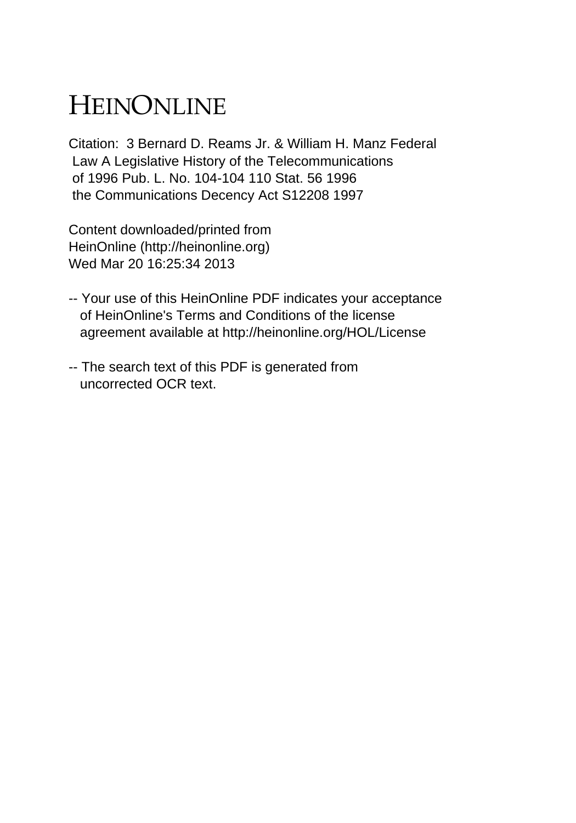# HEINONLINE

Citation: 3 Bernard D. Reams Jr. & William H. Manz Federal Law A Legislative History of the Telecommunications of 1996 Pub. L. No. 104-104 110 Stat. 56 1996 the Communications Decency Act S12208 1997

Content downloaded/printed from HeinOnline (http://heinonline.org) Wed Mar 20 16:25:34 2013

- -- Your use of this HeinOnline PDF indicates your acceptance of HeinOnline's Terms and Conditions of the license agreement available at http://heinonline.org/HOL/License
- -- The search text of this PDF is generated from uncorrected OCR text.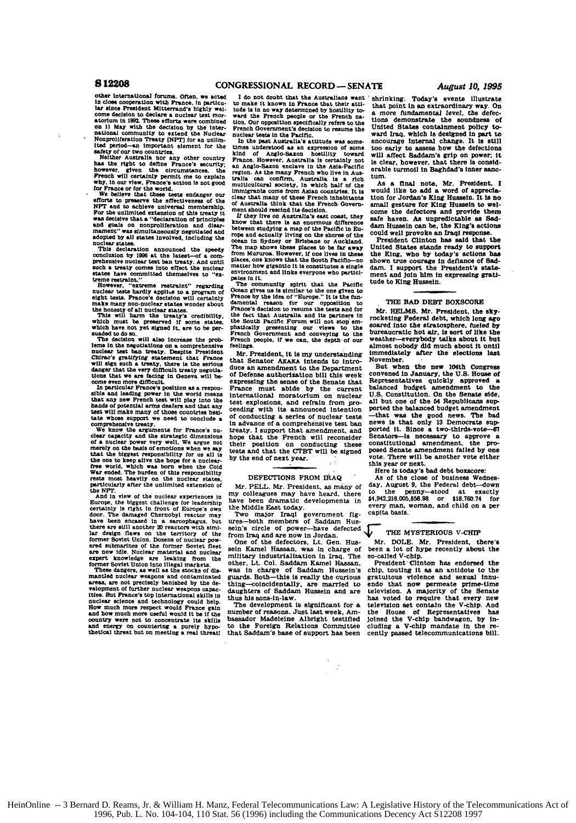ne ande President Autorina o noticinal and the section of the basis of the first and the section of the model and Model Nondinal community to extend the Noder Nondinal community to extend the Noder Nondinal community to e

are now idle. Nuclear material and nuclear more expert knowledge are leaking from the former Soviet Union into illegal markets. These dangers, as well as the stocks of dismanded ruelear weapons and contaminated areas, are

nuclear teasts In the **Indian of the Prench Covernment's** decision to resume the nuclear tests in the Pacific.<br>In the part to the Indian section of the part to the Indian section in the part Australia's attitude was some-

These understood as an expression of some too early to assess how the defections these understood as an expression between the contributions with the defections France. However, that there is considered as the contract of malto. Rowstei, Australia society, and the Asia-Pacific region. As the many French who live in Australia can confirm, Australia is a rich multicultural society, in which half of the Immigrants come from Asian countries. It **is** would like to **add** a word of apprecia-clear that many **Of these** French inhabitants tion for Jordan's King Hussein. It is no

of Australia think that the French-Govern-<br>mail gesture for King Hussein to wel-<br>of Australia think that the French-Govern-<br>ment should rescind its decision. The check and provide therm<br> $H$  they live on Australia's east c

Ocean gives us is similar to the one given to France by the idea of "Europe." It is the fun-<br>France by the idea of "Europe." It is the fun-<br>Europe. THE BAD DEBT BOXSCORE<br>France's decision to resume the tests and for Mr. HE France's decision to resume the tests and for Mr. HELMS. Mr. President, the sky-<br>the fact that Australia and its partners in rocketing Federal debt, which hong ago<br>the South Pacific Forum will not stop em- rocketing Federa phatically presenting our **views to** the **soared** Into **the stratosphere, fuled by** French people, **if** we can, the depth **of** our weather--everybody talks about it but

Mr. President, it is my understanding immediately at Senator AKAKA intends to intro-November. that Senator **AXAXA** intends to intro- November. **duce** an amendment to the Department But when the new 104th Congress **of** Defense authorlation **bill** this week convened In January, the **U.S.** House of of Defense authorization bill this week<br>
France must abide by the current<br>
France must abide by the current<br>
international moratorium on nuclear France must abide by the current balanced budget amendment to the rational moratorium on nuclear U.S. Constitution. On the Senate side, test explosions, and refrain from pro- all but one of the 54 Republicans suptest explosions, and refrain from pro-<br>all but one of the balanced budget amendment ceeding with its announced intention ported the balanced budget amendment<br>of conducting a series of nuclear tests. - that was the good new of conducting a series of nuclear tests in advance of a comprehensive test ban in animals of the french will reconsider Senators-1s necessary to approve that the French will reconsider Senators-1s necessary to approve a hope that the Prench will reconsider Senators-1s necessary to approve a their pos

the Middle East today.<br>Two major Iraqi government fig-<br>Two major Iraqi government fig-<br>ures-both members of Saddam Hussein's circle of power-have defected **F THE MYSTERIOUS V-CHIP** from Iraq and are now in Jordan.

sin Kamel Hassan. was in charge of been a lot of hype recently about the Military industrialization in Iraq. The so-called V-chip. other. Lt. Col. Saddam Kernel Hassan, President'Clinton **has** endorsed the was in charge of Saddam Hussein's chip, touting it as an antidote to the guards. Both-this is really the curious gratuitous violence and sexual innu-<br>thing-coincidentally, are married to endo that now permeate prime-time<br>d

number of reasons. Just last week. Am- the House of Representatives has bassador Madeleine Albright testified **joined** the V-chp bandwagon, **by** Inthat Saddam's base of support has been

 $\bar{z}$ 

I do not doubt that the Australians want 'shrinking. Today's events illustrate<br>to make it known in France that their atti-<br>that point in an extraordinary way. On<br>turd is in no way determined by hostility to-<br>a more fundame

French Government **and** conveying to the bureaucratic hot air, **is** sort **of like** the feelings, almost nobody **did much** about it until

In a was the good news. The band news is that only 13 Democrats sup-<br>ported it. Since a two-thirds-vote-67<br>Senators-is necessary to approve a<br>constitutional amendment, the proby the end of next year.<br> **by the end of next.**<br>
this year or next.

Here is today's bad debt boxscore:

DEFECTIONS FROM IRAQ As of the close of business Wednes-<br>Mr. PELL. Mr. President, as many of day, August 9, the Federal debt-down<br>my colleagues may have heard, there is the penny--stood at exactly<br>have been dramatic develo

Mr. DOLE. Mr. President, there's been a lot of hype recently about the so-called V-chip.<br>President Clinton has endorsed the

thus his sons-in-law. has voted to require that every new The development **is** significant for a television set contain the **V-chip.** And bassador Madeleine Albright testified joined the V-chip bandwagon, by in-<br>to the Foreign Relations Committee cluding a V-chip mandate in the re-<br>that Saddam's base of support has been cently passed telecommunications bill.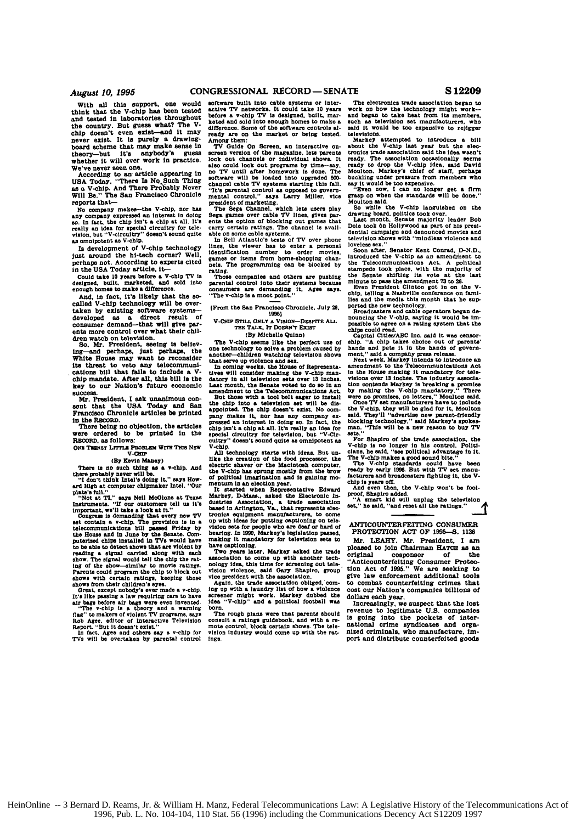With all this support, one **would** think that the V-chip has been tested and tested in laboratories throughout the country. But guess what? The V.<br>chip doesn't even exist--and it may never exist. It is purely a drawing-<br>board scheme that may make sense in<br>theory-but it's anybody's guess<br>whether it will ever work in practice.

We've never seen one.<br>According to an article appearing in **USA** Today. "There **Is** No Such Thing an a **V-chip.** And There Probably Never Will **Be."** The San Francisco Chronicle reports that-<br>No company makes-the V-chip, nor has

No company makes-the V-chip, nor has any company expressed an interest in doing so. In fact, the **chip Isn't a** chip at all. It's really **an** idea for special circuitry for tele- vision, **but** 'V-circultry" doesn't sound quite as omnipotent **s V-chip.**

**Is** development of V-chip technology just around the hi-tech corner? **Well.** perhaps not. According to experts cited in the **USA** Today article, it -

Could take **10 years before a** V-chip TV is designed, built, marketed, **and** sold into enough homes **to make a** difference.

And, in fact. it's likely that the socalled V-chip technology will be over-taken **by** existing software systemsdeveloped as **a** direct result of consumer demand-that will give parents more control over what their chil-<br>dren watch on television.

dren watch on television.<br>So. Mr. President, seeing is believ-<br>ing-and perhaps, just perhaps, the<br>White House may want to reconsider Its threat to veto **any** telecommuni-

cAtions bill that falls to include **a V-** chip mandate. After **all,** this **bill is** the **key** to our Nation's future economic success **Mr.** President. **I** ank unanimous con-

sent that the **USA** Today and San Francisco Chronicle articles **be** printed

**in** the RECORD. There being no objection, the articles were ordered to be **printed** in the

## RECORD. as follows: **Ox** TanesT **LrrrnL** PRoBg WTrre Tins NxW **V-ClIP**

**(By Kevin Maney)**<br>There is no such thing as a v-chip. And

there probably never will be.<br>"I don't think Intel's doing it," says How-<br>ard High at computer chipmaker Intel. "Our

Instruments. "If our oustomers tell us it's<br>important, we'll take slook at it."<br>Congress is demanding that every new TV<br>set contain a v-chip. The provision is in a<br>telecommunications bill passed Priday by<br>the House and in puterised chips installed n TVs would have to **be able** to detect Shows that **are** violent **by** reading a signal carried along with each show. The signal would coll the chip the ratings of the abov—similar to movie ratings. Parents could program the chip to block out shows with certain ratings, keeping those shows f

shows from their children's eyes.<br>
Great, except nobody's ever made a v-chip.<br>
Great, except nobody's ever made a v-chip.<br>
if is like passing a law requiring cars to have<br>
"The v-chip is a bhory and a warning<br>
"The v-chip

Rob **Agee.** editor of Interactive Television Report. "But it doesn't exist," **In fact.** Agee and others **say a** v-chip for TVs will be overtaken **by** parental control

software built **Into** cable systems or Interactive TV networks. It could take 10 years<br>before a v-chip TV is designed, built, mar-<br>keted and sold into enough homes to make a<br>difference. Some of the software controls already **are** on the market or being tested.

Among them: TV Guide **On** Screen, **an** Interactive onscreen version **of** the magazine, lets parents lock out channels or individual shows. It also could lock Out programs **by** time-say. no TV until after homework **Is** done. The software **will be** loaded Into upgraded **5W-**channel cable TV systems starting this **fall.** 'It's parental control a opposed **to** govern-mental control." says **Larry** Miller. **vice**

president of marketing.<br>The Segs Channel, which lets users play<br>Segs games over cable TV lines, gives par-<br>ents the option of blocking out games that<br>carry certain ratings. The channel is avail-<br>able on some cable systems.

lines, the viewer **has** to enter **a** personal identification number to order movies. games or items from home-shopping channels. The programming can be blocked **by**

rating. Those companies and others **are** pushing parental control into their system **because** consumers **are** demanding it. Ages **says.** "The v-chip **Is** a moot point."

(From the **San** Francisco Chronicle, July *20,*

1996) V-CHIP **STILL ONLY A** VISION-Dzsrvm **ALL THE TALK.** IT DOesN'T **EXIST**

### (By Michelle Quinn)

**The V-chip seems like** the perfect use of one technology to solve **a** problem caused **by** another-children watching television shows that **serve up** violence **and sex.**

In coming weeks, the House of Representa-tives will consider making the **V-chip man-**datory In **all** television sets over **13** Inches.

Last month, the Senate voted to do so in an<br>amendment to the Telecommunications Act.<br>But those with a tool belt reager to install<br>the chip into a television set will be dis-<br>appointed. The chip doesn't exist. No com-<br>press **V-chIp.**

**All** technology starts with **Idea.** But **un-**like the creation of the food processor, the electric shaver or the Macintosh computer.

the V-chip has sprung mostly from the brow<br>of political imagination and is calling mo-<br>of political imagination and is calling mo-<br>mentum in an election year. It is called when Representative Edward<br>Markey, D-Mass., asked

Two **years** later. Markey asked the trade asoclation to come **up** with another tech-noloy **idesa,** this time for screening out television violence, said Gary Shapiro, group<br>vice president with the association.<br>Again, the trade association obliged, com-

**log up** with **a** laundry list of how **a** violence screener might work. **Markey dubbed** the idea **"V-chip" and** a political football was **born.**

The rough plas were that parents should consult **a** ratings guidebook, and with a re-<br>mote control, block certain shows. The tele-<br>vision industry would come up with the rat-<br>fings.

The electronics trade association began to work on how the technology might work-and began to take heat from its members. such **as** television set manufacturers, who Said it would **be** too expensive to rejigger

televisions. Markey attempted to Introduce a **bill** about the V-chip last year but the **elso-**tronlc trade association said the **idea** wasn't **ready. The** association occasionally seems **ready** to drop the **V-chip** idea. **said David** Moulton. Markey's chief of staff. perhaps

buckling under **pressure** from members who **sy** it would be too expensive. "Even now. **<sup>I</sup>**can no longer get a firm **grasp** on **when** the standards **will** be done." Moulton **said.** So while the V-chip languished on the

drawing board, politics took over. Last month. Senate majority leader **Bob Dole** took on Hollywood **as** pert of **his preel**deotial campaign **and** denounced movies and television shows with "mindless violence and

loveless sex."<br>Soon affer. Senator Kent Conrad, D-N.D.,<br>Soon affer. Senator Kent Conrad, D-N.D.,<br>introduced the V-chip as an amendment to<br>the Telecommunications Act. A political<br>stampeds took place, with the majority of<br>th

ported the new technology. Broadcasters and **cable** operators began **de-**

nouncing the V-chip. saying it would be im-<br>possible to agree on a rating system that the<br>chips could read.<br>Capital Cities/ABC Inc. said it was censor-

ship. **"A** chip takes choice out of parents' hands **and** puts it in the hands of govern-ment," **said** a company press release. Next week, Markey intends to introduce **an**

amendment to the Telecommunications Act in the House **making** it mandatory for tele visions over **13** inches. The Industry associa-tion contends Markey **is** breaking a promise **by** making the V-chip mandatory.1" There

were no promises, **no** letters." Moulton **said.** Once TV set manufacturers **have** to **Include** the V-chip, they will be glad for it, Moulton<br>said. They'll 'advertise new parent-friendly<br>blocking technology," said Markey's spokes-<br>man. "This will be a new reason to buy TV<br>sets."

.<br>or Shapiro of the trade association v-chip is no longer in his control. Politicians, he said, "see political advantage in it.<br>The V-chip makes a good sound bite."<br>The V-chip makes a good sound bite."<br>The V-chip standards could have been<br>ready by early 1998.

chip **is years off.**

**And** even then. the **V-chip** won't be fool-

proof. Shapiro added. **"A** smart **kid will** unplug the television set." he said. **"and reset all** the ratings." **-**

**ANTICOUNTERFEITING CONSUMER PROTECTION ACT OF 1995-8. 1138**

Mr. **LEAHY.** Mr. President, **I am** pleased to join Chairman **HATCH as** an original cosponsor **of** the "Anticounterfelting Consumer Protec-tion Act of **1995."** We **are** seeking to give law enforcement additional tools to combat counterfeiting crimes that cost **our** Nation's companies billions of dollars each year.

Increasingly, we suspect that the lost revenue to legitimate **U.S.** companies **is** going into the pockete of international crime syndicates and orga-nized criminals, who manufacture, **Im**port and distribute counterfeited **goods**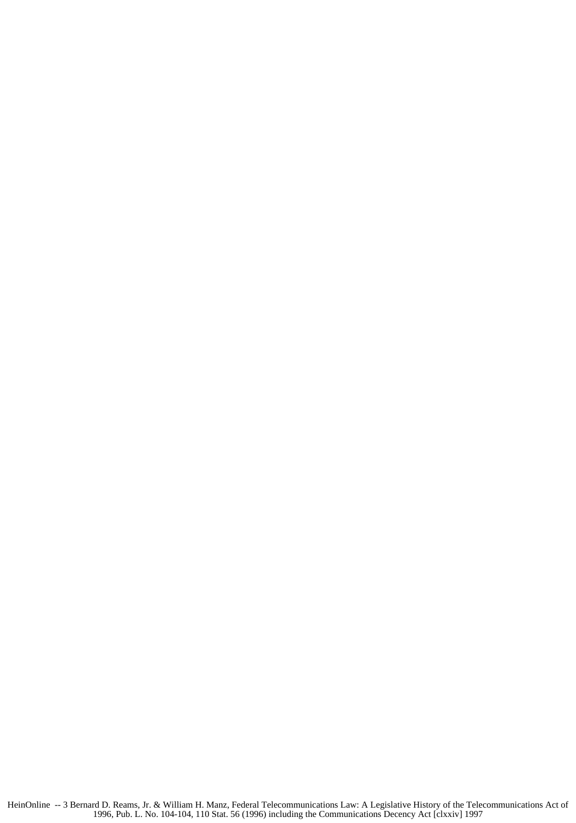HeinOnline -- 3 Bernard D. Reams, Jr. & William H. Manz, Federal Telecommunications Law: A Legislative History of the Telecommunications Act of 1996, Pub. L. No. 104-104, 110 Stat. 56 (1996) including the Communications Decency Act [clxxiv] 1997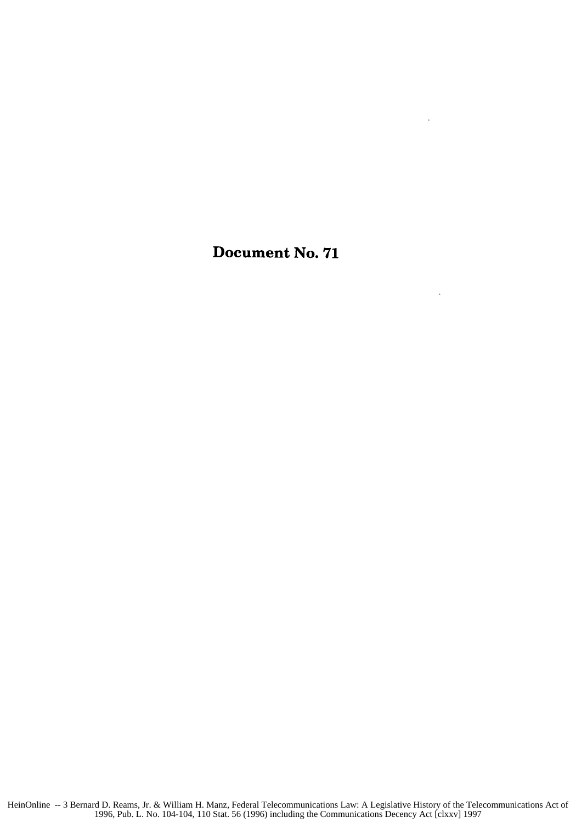Document No. **71**

 $\cdot$ 

 $\ddot{\phantom{0}}$